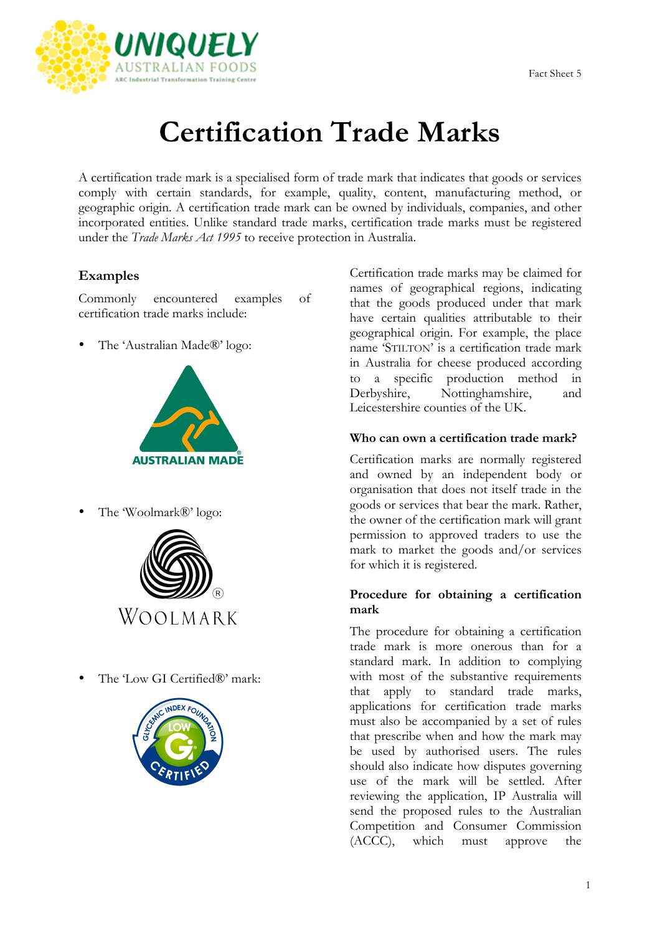

# **Certification Trade Marks**

A certification trade mark is a specialised form of trade mark that indicates that goods or services comply with certain standards, for example, quality, content, manufacturing method, or geographic origin. A certification trade mark can be owned by individuals, companies, and other incorporated entities. Unlike standard trade marks, certification trade marks must be registered under the *Trade Marks Act 1995* to receive protection in Australia.

## **Examples**

Commonly encountered examples of certification trade marks include:

• The 'Australian Made®' logo:



• The 'Woolmark®' logo:



The 'Low GI Certified®' mark:



Certification trade marks may be claimed for names of geographical regions, indicating that the goods produced under that mark have certain qualities attributable to their geographical origin. For example, the place name 'STILTON' is a certification trade mark in Australia for cheese produced according to a specific production method in Derbyshire, Nottinghamshire, and Leicestershire counties of the UK.

### **Who can own a certification trade mark?**

Certification marks are normally registered and owned by an independent body or organisation that does not itself trade in the goods or services that bear the mark. Rather, the owner of the certification mark will grant permission to approved traders to use the mark to market the goods and/or services for which it is registered.

#### **Procedure for obtaining a certification mark**

The procedure for obtaining a certification trade mark is more onerous than for a standard mark. In addition to complying with most of the substantive requirements that apply to standard trade marks, applications for certification trade marks must also be accompanied by a set of rules that prescribe when and how the mark may be used by authorised users. The rules should also indicate how disputes governing use of the mark will be settled. After reviewing the application, IP Australia will send the proposed rules to the Australian Competition and Consumer Commission (ACCC), which must approve the